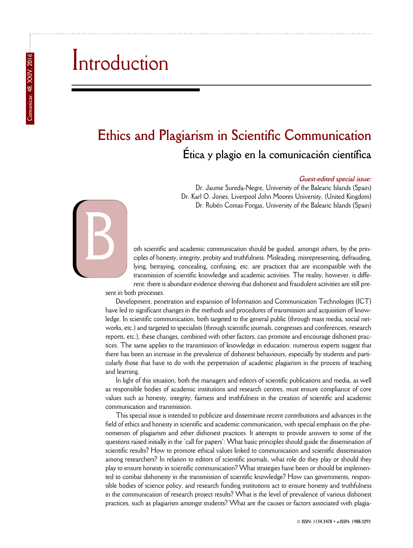## Introduction

## **Ethics and Plagiarism in Scientific Communication Ética y plagio en la comunicación científica**

## **Guest-edited special issue:**

Dr. Jaume Sureda-Negre, University of the Balearic Islands (Spain) Dr. Karl O. Jones, Liverpool John Moores University, (United Kingdom) Dr. Rubén Comas-Forgas, University of the Balearic Islands (Spain)



oth scientific and academic communication should be guided, amongst others, by the principles of honesty, integrity, probity and truthfulness. Misleading, misrepresenting, defrauding, lying, betraying, concealing, confusing, etc. are practices that are incompatible with the transmission of scientific knowledge and academic activities. The reality, however, is different: there is abundant evidence showing that dishonest and fraudulent activities are still pre-

sent in both processes.

Development, penetration and expansion of Information and Communication Technologies (ICT) have led to significant changes in the methods and procedures of transmission and acquisition of knowledge. In scientific communication, both targeted to the general public (through mass media, social networks, etc.) and targeted to specialists (through scientific journals, congresses and conferences, research reports, etc.), these changes, combined with other factors, can promote and encourage dishonest practices. The same applies to the transmission of knowledge in education: numerous experts suggest that there has been an increase in the prevalence of dishonest behaviours, especially by students and particularly those that have to do with the perpetration of academic plagiarism in the process of teaching and learning.

In light of this situation, both the managers and editors of scientific publications and media, as well as responsible bodies of academic institutions and research centres, must ensure compliance of core values such as honesty, integrity, fairness and truthfulness in the creation of scientific and academic communication and transmission.

This special issue is intended to publicize and disseminate recent contributions and advances in the field of ethics and honesty in scientific and academic communication, with special emphasis on the phenomenon of plagiarism and other dishonest practices. It attempts to provide answers to some of the questions raised initially in the 'call for papers': What basic principles should guide the dissemination of scientific results? How to promote ethical values linked to communication and scientific dissemination among researchers? In relation to editors of scientific journals, what role do they play or should they play to ensure honesty in scientific communication? What strategies have been or should be implemented to combat dishonesty in the transmission of scientific knowledge? How can governments, responsible bodies of science policy, and research funding institutions act to ensure honesty and truthfulness in the communication of research project results? What is the level of prevalence of various dishonest practices, such as plagiarism amongst students? What are the causes or factors associated with plagia-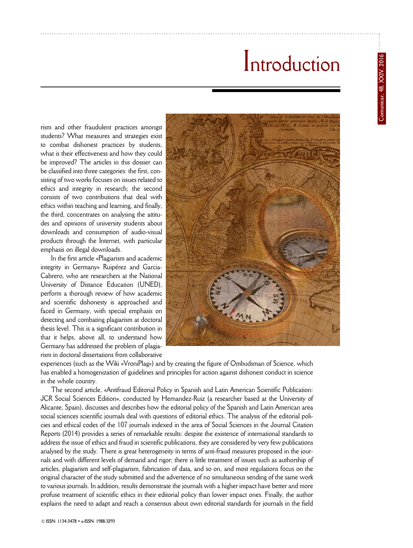## Introduction

rism and other fraudulent practices amongst students? What measures and strategies exist to combat dishonest practices by students, what is their effectiveness and how they could be improved? The articles in this dossier can be classified into three categories: the first, consisting of two works focuses on issues related to ethics and integrity in research; the second consists of two contributions that deal with ethics within teaching and learning, and finally, the third, concentrates on analysing the attitudes and opinions of university students about downloads and consumption of audio-visual products through the Internet, with particular emphasis on illegal downloads.

In the first article «Plagiarism and academic integrity in Germany» Ruipérez and Garcia-Cabrero, who are researchers at the National University of Distance Education (UNED), perform a thorough review of how academic and scientific dishonesty is approached and faced in Germany, with special emphasis on detecting and combating plagiarism at doctoral thesis level. This is a significant contribution in that it helps, above all, to understand how Germany has addressed the problem of plagiarism in doctoral dissertations from collaborative



experiences (such as the Wiki «VroniPlag») and by creating the figure of Ombudsman of Science, which has enabled a homogenization of guidelines and principles for action against dishonest conduct in science in the whole country.

The second article, «Antifraud Editorial Policy in Spanish and Latin American Scientific Publication: JCR Social Sciences Edition», conducted by Hernandez-Ruiz (a researcher based at the University of Alicante, Spain), discusses and describes how the editorial policy of the Spanish and Latin American area social sciences scientific journals deal with questions of editorial ethics. The analysis of the editorial policies and ethical codes of the 107 journals indexed in the area of Social Sciences in the Journal Citation Reports (2014) provides a series of remarkable results: despite the existence of international standards to address the issue of ethics and fraud in scientific publications, they are considered by very few publications analysed by the study. There is great heterogeneity in terms of anti-fraud measures proposed in the journals and with different levels of demand and rigor; there is little treatment of issues such as authorship of articles, plagiarism and self-plagiarism, fabrication of data, and so on, and most regulations focus on the original character of the study submitted and the advertence of no simultaneous sending of the same work to various journals. In addition, results demonstrate the journals with a higher impact have better and more profuse treatment of scientific ethics in their editorial policy than lower impact ones. Finally, the author explains the need to adapt and reach a consensus about own editorial standards for journals in the field